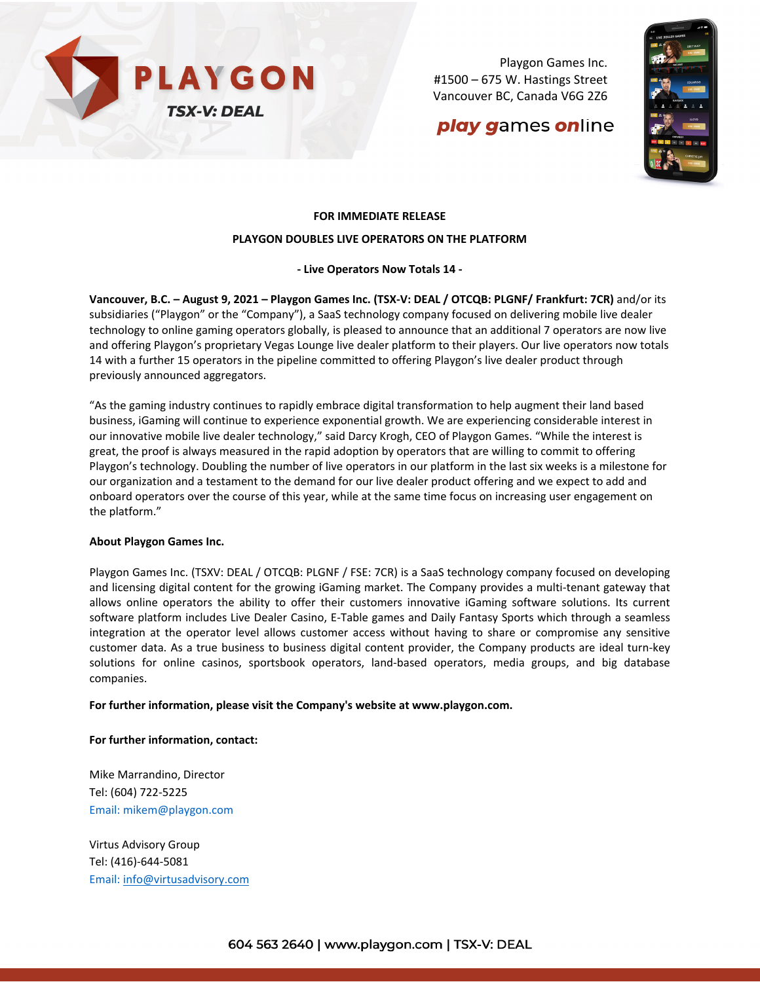

Playgon Games Inc. #1500 – 675 W. Hastings Street Vancouver BC, Canada V6G 2Z6

# play games online



# **FOR IMMEDIATE RELEASE**

### **PLAYGON DOUBLES LIVE OPERATORS ON THE PLATFORM**

## **- Live Operators Now Totals 14 -**

**Vancouver, B.C. – August 9, 2021 – Playgon Games Inc. (TSX-V: DEAL / OTCQB: PLGNF/ Frankfurt: 7CR)** and/or its subsidiaries ("Playgon" or the "Company"), a SaaS technology company focused on delivering mobile live dealer technology to online gaming operators globally, is pleased to announce that an additional 7 operators are now live and offering Playgon's proprietary Vegas Lounge live dealer platform to their players. Our live operators now totals 14 with a further 15 operators in the pipeline committed to offering Playgon's live dealer product through previously announced aggregators.

"As the gaming industry continues to rapidly embrace digital transformation to help augment their land based business, iGaming will continue to experience exponential growth. We are experiencing considerable interest in our innovative mobile live dealer technology," said Darcy Krogh, CEO of Playgon Games. "While the interest is great, the proof is always measured in the rapid adoption by operators that are willing to commit to offering Playgon's technology. Doubling the number of live operators in our platform in the last six weeks is a milestone for our organization and a testament to the demand for our live dealer product offering and we expect to add and onboard operators over the course of this year, while at the same time focus on increasing user engagement on the platform."

#### **About Playgon Games Inc.**

Playgon Games Inc. (TSXV: DEAL / OTCQB: PLGNF / FSE: 7CR) is a SaaS technology company focused on developing and licensing digital content for the growing iGaming market. The Company provides a multi-tenant gateway that allows online operators the ability to offer their customers innovative iGaming software solutions. Its current software platform includes Live Dealer Casino, E-Table games and Daily Fantasy Sports which through a seamless integration at the operator level allows customer access without having to share or compromise any sensitive customer data. As a true business to business digital content provider, the Company products are ideal turn-key solutions for online casinos, sportsbook operators, land-based operators, media groups, and big database companies.

#### **For further information, please visit the Company's website at [www.playgon.com.](http://www.playgon.com/)**

## **For further information, contact:**

Mike Marrandino, Director Tel: (604) 722-5225 Email: [mikem@playgon.com](mailto:mikem@playgon.com)

Virtus Advisory Group Tel: (416)-644-5081 Email: [info@virtusadvisory.com](http://info@virtusadvisory.com)